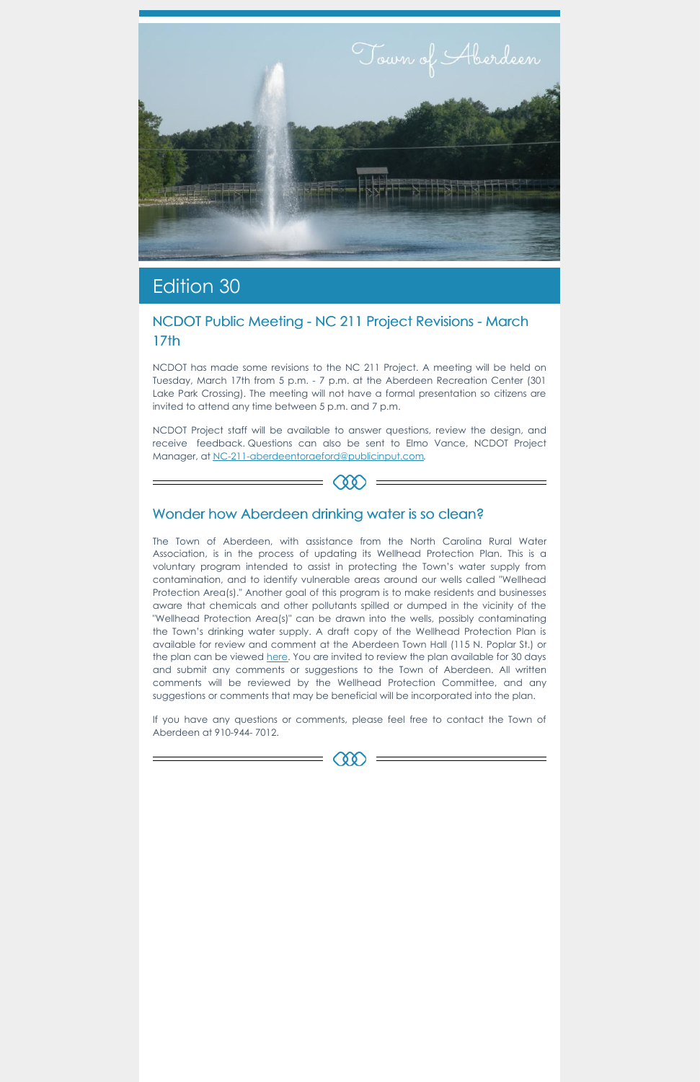

## Edition 30

### NCDOT Public Meeting - NC 211 Project Revisions - March 17th

NCDOT has made some revisions to the NC 211 Project. A meeting will be held on Tuesday, March 17th from 5 p.m. - 7 p.m. at the Aberdeen Recreation Center (301 Lake Park Crossing). The meeting will not have a formal presentation so citizens are invited to attend any time between 5 p.m. and 7 p.m.

NCDOT Project staff will be available to answer questions, review the design, and receive feedback. Questions can also be sent to Elmo Vance, NCDOT Project Manager, at [NC-211-aberdeentoraeford@publicinput.com](mailto:NC-211-aberdeentoraeford@publicinput.com).



#### Wonder how Aberdeen drinking water is so clean?

The Town of Aberdeen, with assistance from the North Carolina Rural Water Association, is in the process of updating its Wellhead Protection Plan. This is a voluntary program intended to assist in protecting the Town's water supply from contamination, and to identify vulnerable areas around our wells called "Wellhead Protection Area(s)." Another goal of this program is to make residents and businesses aware that chemicals and other pollutants spilled or dumped in the vicinity of the "Wellhead Protection Area(s)" can be drawn into the wells, possibly contaminating the Town's drinking water supply. A draft copy of the Wellhead Protection Plan is available for review and comment at the Aberdeen Town Hall (115 N. Poplar St.) or the plan can be viewed [here](https://www.townofaberdeen.net/files/documents/WellheadProtectionPlan-DRAFT135043910021220PM.pdf). You are invited to review the plan available for 30 days and submit any comments or suggestions to the Town of Aberdeen. All written comments will be reviewed by the Wellhead Protection Committee, and any suggestions or comments that may be beneficial will be incorporated into the plan.

If you have any questions or comments, please feel free to contact the Town of Aberdeen at 910-944- 7012.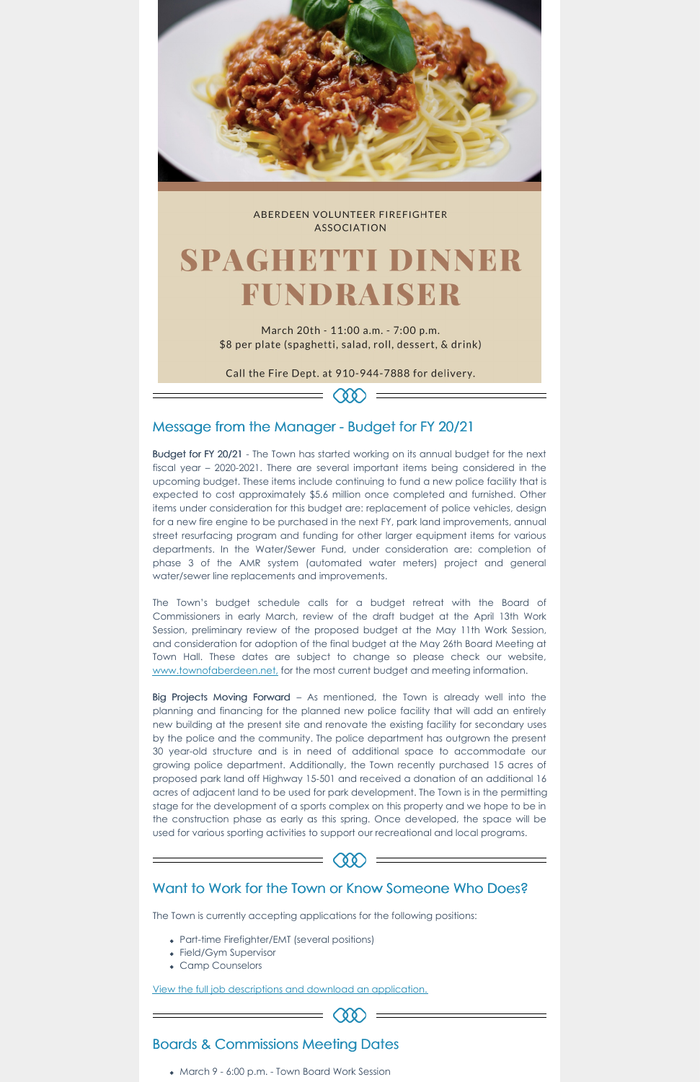

ABERDEEN VOLUNTEER FIREFIGHTER **ASSOCIATION** 

# SPAGHETTI DINNER FUNDRAISER

March 20th - 11:00 a.m. - 7:00 p.m. \$8 per plate (spaghetti, salad, roll, dessert, & drink)

Call the Fire Dept. at 910-944-7888 for delivery.

 $Q(\mathbf{X})$ 

#### Message from the Manager - Budget for FY 20/21

The Town's budget schedule calls for a budget retreat with the Board of Commissioners in early March, review of the draft budget at the April 13th Work Session, preliminary review of the proposed budget at the May 11th Work Session, and consideration for adoption of the final budget at the May 26th Board Meeting at Town Hall. These dates are subject to change so please check our website, [www.townofaberdeen.net,](https://www.townofaberdeen.net/) for the most current budget and meeting information.

Budget for FY 20/21 - The Town has started working on its annual budget for the next fiscal year – 2020-2021. There are several important items being considered in the upcoming budget. These items include continuing to fund a new police facility that is expected to cost approximately \$5.6 million once completed and furnished. Other items under consideration for this budget are: replacement of police vehicles, design for a new fire engine to be purchased in the next FY, park land improvements, annual street resurfacing program and funding for other larger equipment items for various departments. In the Water/Sewer Fund, under consideration are: completion of phase 3 of the AMR system (automated water meters) project and general water/sewer line replacements and improvements.

Big Projects Moving Forward – As mentioned, the Town is already well into the planning and financing for the planned new police facility that will add an entirely new building at the present site and renovate the existing facility for secondary uses by the police and the community. The police department has outgrown the present 30 year-old structure and is in need of additional space to accommodate our growing police department. Additionally, the Town recently purchased 15 acres of proposed park land off Highway 15-501 and received a donation of an additional 16 acres of adjacent land to be used for park development. The Town is in the permitting stage for the development of a sports complex on this property and we hope to be in the construction phase as early as this spring. Once developed, the space will be used for various sporting activities to support our recreational and local programs.



 $(00)$ 

The Town is currently accepting applications for the following positions:

- Part-time Firefighter/EMT (several positions)
- Field/Gym Supervisor
- Camp Counselors

View the full job descriptions and download an [application.](https://aberdeen.municipalcms.com/employment.aspx?id=2099&catid=29)

Boards & Commissions Meeting Dates

• March 9 - 6:00 p.m. - Town Board Work Session